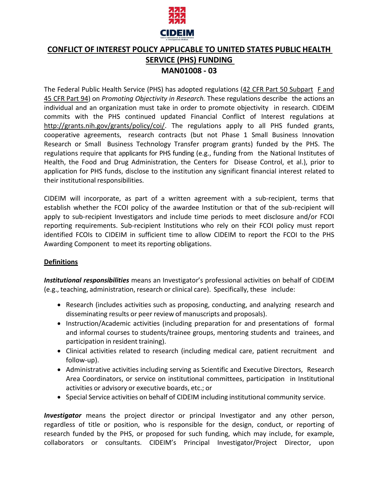

# **CONFLICT OF INTEREST POLICY APPLICABLE TO UNITED STATES PUBLIC HEALTH SERVICE (PHS) FUNDING MAN01008 - 03**

The Federal Public Health Service (PHS) has adopted regulations (42 CFR Part 50 Subpart F and 45 CFR Part 94) on *Promoting Objectivity in Research.* These regulations describe the actions an individual and an organization must take in order to promote objectivity in research. CIDEIM commits with the PHS continued updated Financial Conflict of Interest regulations at [http://grants.nih.gov/grants/policy/coi/.](http://grants.nih.gov/grants/policy/coi/) The regulations apply to all PHS funded grants, cooperative agreements, research contracts (but not Phase 1 Small Business Innovation Research or Small Business Technology Transfer program grants) funded by the PHS. The regulations require that applicants for PHS funding (e.g., funding from the National Institutes of Health, the Food and Drug Administration, the Centers for Disease Control, et al.), prior to application for PHS funds, disclose to the institution any significant financial interest related to their institutional responsibilities.

CIDEIM will incorporate, as part of a written agreement with a sub-recipient, terms that establish whether the FCOI policy of the awardee Institution or that of the sub-recipient will apply to sub-recipient Investigators and include time periods to meet disclosure and/or FCOI reporting requirements. Sub-recipient Institutions who rely on their FCOI policy must report identified FCOIs to CIDEIM in sufficient time to allow CIDEIM to report the FCOI to the PHS Awarding Component to meet its reporting obligations.

## **Definitions**

*Institutional responsibilities* means an Investigator's professional activities on behalf of CIDEIM (e.g., teaching, administration, research or clinical care). Specifically, these include:

- Research (includes activities such as proposing, conducting, and analyzing research and disseminating results or peer review of manuscripts and proposals).
- Instruction/Academic activities (including preparation for and presentations of formal and informal courses to students/trainee groups, mentoring students and trainees, and participation in resident training).
- Clinical activities related to research (including medical care, patient recruitment and follow-up).
- Administrative activities including serving as Scientific and Executive Directors, Research Area Coordinators, or service on institutional committees, participation in Institutional activities or advisory or executive boards, etc.; or
- Special Service activities on behalf of CIDEIM including institutional community service.

*Investigator* means the project director or principal Investigator and any other person, regardless of title or position, who is responsible for the design, conduct, or reporting of research funded by the PHS, or proposed for such funding, which may include, for example, collaborators or consultants. CIDEIM's Principal Investigator/Project Director, upon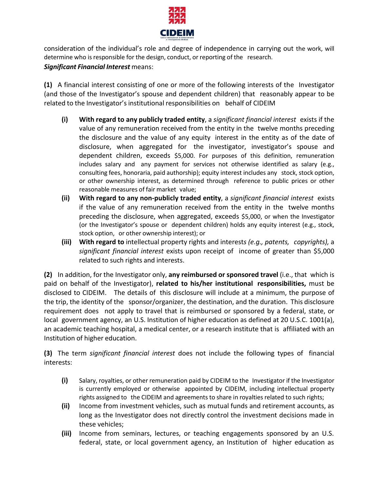

consideration of the individual's role and degree of independence in carrying out the work, will determine who is responsible for the design, conduct, or reporting of the research.

## *Significant Financial Interest* means:

**(1)** A financial interest consisting of one or more of the following interests of the Investigator (and those of the Investigator's spouse and dependent children) that reasonably appear to be related to the Investigator's institutional responsibilities on behalf of CIDEIM

- **(i) With regard to any publicly traded entity**, a *significant financial interest* exists if the value of any remuneration received from the entity in the twelve months preceding the disclosure and the value of any equity interest in the entity as of the date of disclosure, when aggregated for the investigator, investigator's spouse and dependent children, exceeds \$5,000. For purposes of this definition, remuneration includes salary and any payment for services not otherwise identified as salary (e.g., consulting fees, honoraria, paid authorship); equity interest includes any stock, stock option, or other ownership interest, as determined through reference to public prices or other reasonable measures of fair market value;
- **(ii) With regard to any non-publicly traded entity**, a *significant financial interest* exists if the value of any remuneration received from the entity in the twelve months preceding the disclosure, when aggregated, exceeds \$5,000, or when the Investigator (or the Investigator's spouse or dependent children) holds any equity interest (e.g., stock, stock option, or other ownership interest); or
- **(iii) With regard to** intellectual property rights and interest*s (e.g., patents, copyrights),* a *significant financial interest* exists upon receipt of income of greater than \$5,000 related to such rights and interests.

**(2)** In addition, for the Investigator only, **any reimbursed or sponsored travel** (i.e., that which is paid on behalf of the Investigator), **related to his/her institutional responsibilities,** must be disclosed to CIDEIM. The details of this disclosure will include at a minimum, the purpose of the trip, the identity of the sponsor/organizer, the destination, and the duration. This disclosure requirement does not apply to travel that is reimbursed or sponsored by a federal, state, or local government agency, an U.S. Institution of higher education as defined at 20 U.S.C. 1001(a), an academic teaching hospital, a medical center, or a research institute that is affiliated with an Institution of higher education.

**(3)** The term *significant financial interest* does not include the following types of financial interests:

- **(i)** Salary, royalties, or other remuneration paid by CIDEIM to the Investigator if the Investigator is currently employed or otherwise appointed by CIDEIM, including intellectual property rights assigned to the CIDEIM and agreementsto share in royalties related to such rights;
- **(ii)** Income from investment vehicles, such as mutual funds and retirement accounts, as long as the Investigator does not directly control the investment decisions made in these vehicles;
- **(iii)** Income from seminars, lectures, or teaching engagements sponsored by an U.S. federal, state, or local government agency, an Institution of higher education as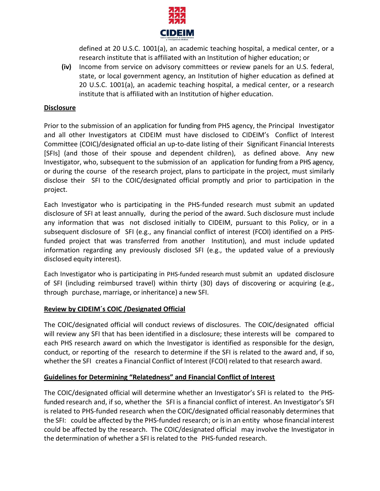

defined at 20 U.S.C. 1001(a), an academic teaching hospital, a medical center, or a research institute that is affiliated with an Institution of higher education; or

**(iv)** Income from service on advisory committees or review panels for an U.S. federal, state, or local government agency, an Institution of higher education as defined at 20 U.S.C. 1001(a), an academic teaching hospital, a medical center, or a research institute that is affiliated with an Institution of higher education.

### **Disclosure**

Prior to the submission of an application for funding from PHS agency, the Principal Investigator and all other Investigators at CIDEIM must have disclosed to CIDEIM's Conflict of Interest Committee (COIC)/designated official an up-to-date listing of their Significant Financial Interests [SFIs] (and those of their spouse and dependent children), as defined above. Any new Investigator, who, subsequent to the submission of an application for funding from a PHS agency, or during the course of the research project, plans to participate in the project, must similarly disclose their SFI to the COIC/designated official promptly and prior to participation in the project.

Each Investigator who is participating in the PHS-funded research must submit an updated disclosure of SFI at least annually, during the period of the award. Such disclosure must include any information that was not disclosed initially to CIDEIM, pursuant to this Policy, or in a subsequent disclosure of SFI (e.g., any financial conflict of interest (FCOI) identified on a PHSfunded project that was transferred from another Institution), and must include updated information regarding any previously disclosed SFI (e.g., the updated value of a previously disclosed equity interest).

Each Investigator who is participating in PHS-funded research must submit an updated disclosure of SFI (including reimbursed travel) within thirty (30) days of discovering or acquiring (e.g., through purchase, marriage, or inheritance) a new SFI.

#### **Review by CIDEIM´s COIC /Designated Official**

The COIC/designated official will conduct reviews of disclosures. The COIC/designated official will review any SFI that has been identified in a disclosure; these interests will be compared to each PHS research award on which the Investigator is identified as responsible for the design, conduct, or reporting of the research to determine if the SFI is related to the award and, if so, whether the SFI creates a Financial Conflict of Interest (FCOI) related to that research award.

#### **Guidelines for Determining "Relatedness" and Financial Conflict of Interest**

The COIC/designated official will determine whether an Investigator's SFI is related to the PHSfunded research and, if so, whether the SFI is a financial conflict of interest. An Investigator's SFI is related to PHS-funded research when the COIC/designated official reasonably determines that the SFI: could be affected by the PHS-funded research; or is in an entity whose financial interest could be affected by the research. The COIC/designated official may involve the Investigator in the determination of whether a SFI is related to the PHS-funded research.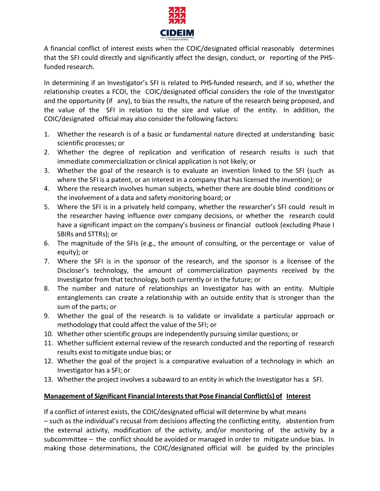

A financial conflict of interest exists when the COIC/designated official reasonably determines that the SFI could directly and significantly affect the design, conduct, or reporting of the PHSfunded research.

In determining if an Investigator's SFI is related to PHS-funded research, and if so, whether the relationship creates a FCOI, the COIC/designated official considers the role of the Investigator and the opportunity (if any), to bias the results, the nature of the research being proposed, and the value of the SFI in relation to the size and value of the entity. In addition, the COIC/designated official may also consider the following factors:

- 1. Whether the research is of a basic or fundamental nature directed at understanding basic scientific processes; or
- 2. Whether the degree of replication and verification of research results is such that immediate commercialization or clinical application is not likely; or
- 3. Whether the goal of the research is to evaluate an invention linked to the SFI (such as where the SFI is a patent, or an interest in a company that has licensed the invention); or
- 4. Where the research involves human subjects, whether there are double blind conditions or the involvement of a data and safety monitoring board; or
- 5. Where the SFI is in a privately held company, whether the researcher's SFI could result in the researcher having influence over company decisions, or whether the research could have a significant impact on the company's business or financial outlook (excluding Phase I SBIRs and STTRs); or
- 6. The magnitude of the SFIs (e.g., the amount of consulting, or the percentage or value of equity); or
- 7. Where the SFI is in the sponsor of the research, and the sponsor is a licensee of the Discloser's technology, the amount of commercialization payments received by the Investigator from that technology, both currently or in the future; or
- 8. The number and nature of relationships an Investigator has with an entity. Multiple entanglements can create a relationship with an outside entity that is stronger than the sum of the parts; or
- 9. Whether the goal of the research is to validate or invalidate a particular approach or methodology that could affect the value of the SFI; or
- 10. Whether other scientific groups are independently pursuing similar questions; or
- 11. Whether sufficient external review of the research conducted and the reporting of research results exist to mitigate undue bias; or
- 12. Whether the goal of the project is a comparative evaluation of a technology in which an Investigator has a SFI; or
- 13. Whether the project involves a subaward to an entity in which the Investigator has a SFI.

## **Management of Significant Financial Intereststhat Pose Financial Conflict(s) of Interest**

If a conflict of interest exists, the COIC/designated official will determine by what means – such as the individual's recusal from decisions affecting the conflicting entity, abstention from the external activity, modification of the activity, and/or monitoring of the activity by a subcommittee – the conflict should be avoided or managed in order to mitigate undue bias. In making those determinations, the COIC/designated official will be guided by the principles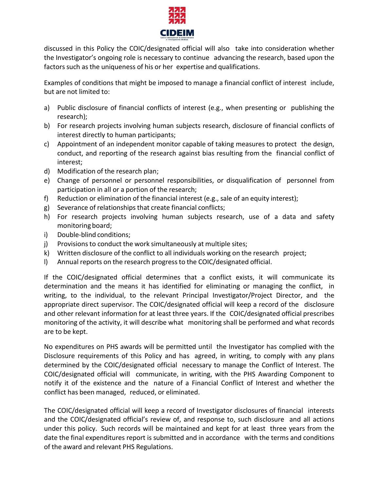

discussed in this Policy the COIC/designated official will also take into consideration whether the Investigator's ongoing role is necessary to continue advancing the research, based upon the factors such as the uniqueness of his or her expertise and qualifications.

Examples of conditions that might be imposed to manage a financial conflict of interest include, but are not limited to:

- a) Public disclosure of financial conflicts of interest (e.g., when presenting or publishing the research);
- b) For research projects involving human subjects research, disclosure of financial conflicts of interest directly to human participants;
- c) Appointment of an independent monitor capable of taking measures to protect the design, conduct, and reporting of the research against bias resulting from the financial conflict of interest;
- d) Modification of the research plan;
- e) Change of personnel or personnel responsibilities, or disqualification of personnel from participation in all or a portion of the research;
- f) Reduction or elimination of the financial interest (e.g., sale of an equity interest);
- g) Severance of relationships that create financial conflicts;
- h) For research projects involving human subjects research, use of a data and safety monitoring board;
- i) Double-blind conditions;
- j) Provisions to conduct the work simultaneously at multiple sites;
- k) Written disclosure of the conflict to all individuals working on the research project;
- l) Annual reports on the research progressto the COIC/designated official.

If the COIC/designated official determines that a conflict exists, it will communicate its determination and the means it has identified for eliminating or managing the conflict, in writing, to the individual, to the relevant Principal Investigator/Project Director, and the appropriate direct supervisor. The COIC/designated official will keep a record of the disclosure and other relevant information for at least three years. If the COIC/designated official prescribes monitoring of the activity, it will describe what monitoring shall be performed and what records are to be kept.

No expenditures on PHS awards will be permitted until the Investigator has complied with the Disclosure requirements of this Policy and has agreed, in writing, to comply with any plans determined by the COIC/designated official necessary to manage the Conflict of Interest. The COIC/designated official will communicate, in writing, with the PHS Awarding Component to notify it of the existence and the nature of a Financial Conflict of Interest and whether the conflict has been managed, reduced, or eliminated.

The COIC/designated official will keep a record of Investigator disclosures of financial interests and the COIC/designated official's review of, and response to, such disclosure and all actions under this policy. Such records will be maintained and kept for at least three years from the date the final expenditures report is submitted and in accordance with the terms and conditions of the award and relevant PHS Regulations.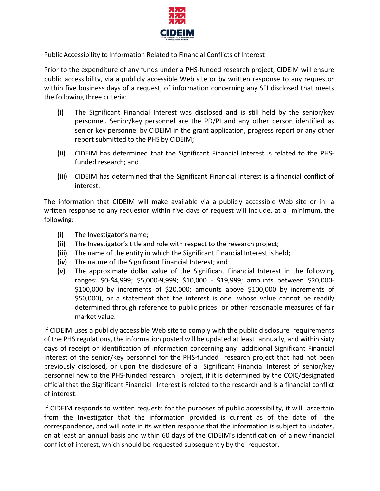

#### Public Accessibility to Information Related to Financial Conflicts of Interest

Prior to the expenditure of any funds under a PHS-funded research project, CIDEIM will ensure public accessibility, via a publicly accessible Web site or by written response to any requestor within five business days of a request, of information concerning any SFI disclosed that meets the following three criteria:

- **(i)** The Significant Financial Interest was disclosed and is still held by the senior/key personnel. Senior/key personnel are the PD/PI and any other person identified as senior key personnel by CIDEIM in the grant application, progress report or any other report submitted to the PHS by CIDEIM;
- **(ii)** CIDEIM has determined that the Significant Financial Interest is related to the PHSfunded research; and
- **(iii)** CIDEIM has determined that the Significant Financial Interest is a financial conflict of interest.

The information that CIDEIM will make available via a publicly accessible Web site or in a written response to any requestor within five days of request will include, at a minimum, the following:

- **(i)** The Investigator's name;
- **(ii)** The Investigator's title and role with respect to the research project;
- **(iii)** The name of the entity in which the Significant Financial Interest is held;
- **(iv)** The nature of the Significant Financial Interest; and
- **(v)** The approximate dollar value of the Significant Financial Interest in the following ranges: \$0-\$4,999; \$5,000-9,999; \$10,000 - \$19,999; amounts between \$20,000- \$100,000 by increments of \$20,000; amounts above \$100,000 by increments of \$50,000), or a statement that the interest is one whose value cannot be readily determined through reference to public prices or other reasonable measures of fair market value.

If CIDEIM uses a publicly accessible Web site to comply with the public disclosure requirements of the PHS regulations, the information posted will be updated at least annually, and within sixty days of receipt or identification of information concerning any additional Significant Financial Interest of the senior/key personnel for the PHS-funded research project that had not been previously disclosed, or upon the disclosure of a Significant Financial Interest of senior/key personnel new to the PHS-funded research project, if it is determined by the COIC/designated official that the Significant Financial Interest is related to the research and is a financial conflict of interest.

If CIDEIM responds to written requests for the purposes of public accessibility, it will ascertain from the Investigator that the information provided is current as of the date of the correspondence, and will note in its written response that the information is subject to updates, on at least an annual basis and within 60 days of the CIDEIM's identification of a new financial conflict of interest, which should be requested subsequently by the requestor.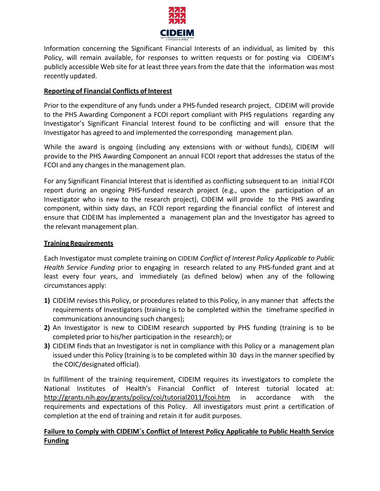

Information concerning the Significant Financial Interests of an individual, as limited by this Policy, will remain available, for responses to written requests or for posting via CIDEIM's publicly accessible Web site for at least three years from the date that the information was most recently updated.

## **Reporting of Financial Conflicts of Interest**

Prior to the expenditure of any funds under a PHS-funded research project, CIDEIM will provide to the PHS Awarding Component a FCOI report compliant with PHS regulations regarding any Investigator's Significant Financial Interest found to be conflicting and will ensure that the Investigator has agreed to and implemented the corresponding management plan.

While the award is ongoing (including any extensions with or without funds), CIDEIM will provide to the PHS Awarding Component an annual FCOI report that addresses the status of the FCOI and any changes in the management plan.

For any Significant Financial Interest that is identified as conflicting subsequent to an initial FCOI report during an ongoing PHS-funded research project (e.g., upon the participation of an Investigator who is new to the research project), CIDEIM will provide to the PHS awarding component, within sixty days, an FCOI report regarding the financial conflict of interest and ensure that CIDEIM has implemented a management plan and the Investigator has agreed to the relevant management plan.

### **TrainingRequirements**

Each Investigator must complete training on CIDEIM *Conflict of Interest Policy Applicable to Public Health Service Funding* prior to engaging in research related to any PHS-funded grant and at least every four years, and immediately (as defined below) when any of the following circumstances apply:

- **1)** CIDEIM revises this Policy, or procedures related to this Policy, in any manner that affects the requirements of Investigators (training is to be completed within the timeframe specified in communications announcing such changes);
- **2)** An Investigator is new to CIDEIM research supported by PHS funding (training is to be completed prior to his/her participation in the research); or
- **3)** CIDEIM finds that an Investigator is not in compliance with this Policy or a management plan issued under this Policy (training is to be completed within 30 days in the manner specified by the COIC/designated official).

In fulfillment of the training requirement, CIDEIM requires its investigators to complete the National Institutes of Health's Financial Conflict of Interest tutorial located at: <http://grants.nih.gov/grants/policy/coi/tutorial2011/fcoi.htm> in accordance with the requirements and expectations of this Policy. All investigators must print a certification of completion at the end of training and retain it for audit purposes.

## **Failure to Comply with CIDEIM´s Conflict of Interest Policy Applicable to Public Health Service Funding**